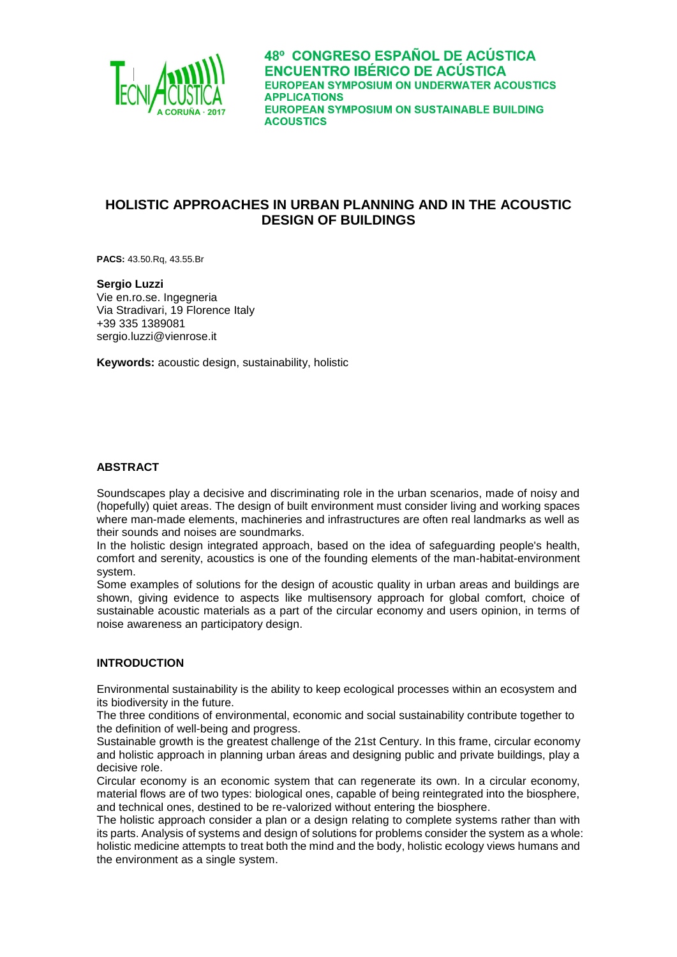

# **HOLISTIC APPROACHES IN URBAN PLANNING AND IN THE ACOUSTIC DESIGN OF BUILDINGS**

**PACS:** 43.50.Rq, 43.55.Br

**Sergio Luzzi** Vie en.ro.se. Ingegneria Via Stradivari, 19 Florence Italy +39 335 1389081 sergio.luzzi@vienrose.it

**Keywords:** acoustic design, sustainability, holistic

## **ABSTRACT**

Soundscapes play a decisive and discriminating role in the urban scenarios, made of noisy and (hopefully) quiet areas. The design of built environment must consider living and working spaces where man-made elements, machineries and infrastructures are often real landmarks as well as their sounds and noises are soundmarks.

In the holistic design integrated approach, based on the idea of safeguarding people's health, comfort and serenity, acoustics is one of the founding elements of the man-habitat-environment system.

Some examples of solutions for the design of acoustic quality in urban areas and buildings are shown, giving evidence to aspects like multisensory approach for global comfort, choice of sustainable acoustic materials as a part of the circular economy and users opinion, in terms of noise awareness an participatory design.

# **INTRODUCTION**

Environmental sustainability is the ability to keep ecological processes within an ecosystem and its biodiversity in the future.

The three conditions of environmental, economic and social sustainability contribute together to the definition of well-being and progress.

Sustainable growth is the greatest challenge of the 21st Century. In this frame, circular economy and holistic approach in planning urban áreas and designing public and private buildings, play a decisive role.

Circular economy is an economic system that can regenerate its own. In a circular economy, material flows are of two types: biological ones, capable of being reintegrated into the biosphere, and technical ones, destined to be re-valorized without entering the biosphere.

The holistic approach consider a plan or a design relating to complete systems rather than with its parts. Analysis of systems and design of solutions for problems consider the system as a whole: holistic medicine attempts to treat both the mind and the body, holistic ecology views humans and the environment as a single system.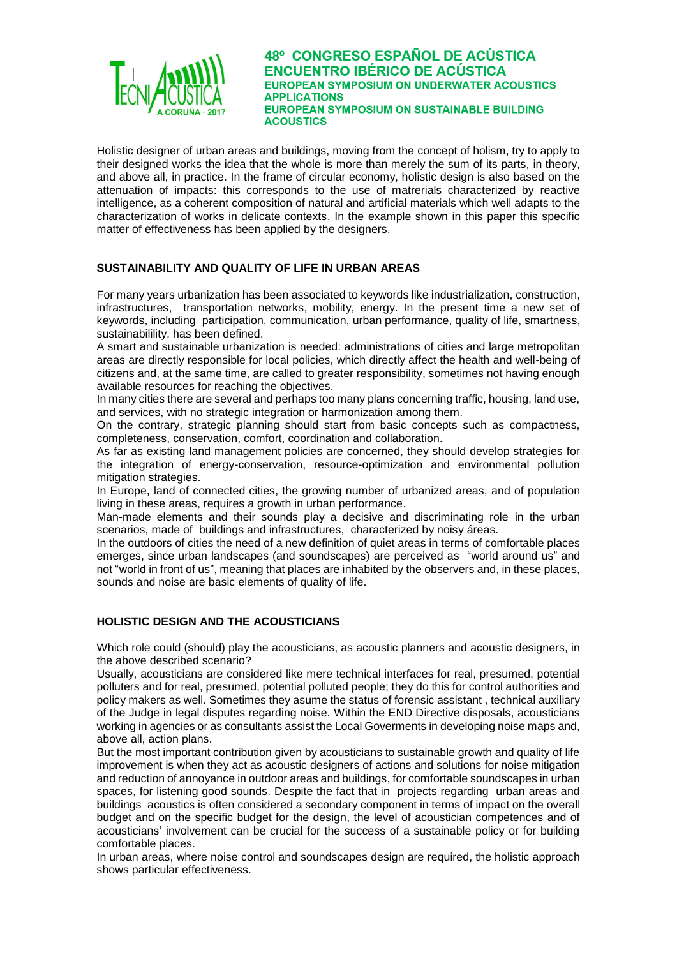

Holistic designer of urban areas and buildings, moving from the concept of holism, try to apply to their designed works the idea that the whole is more than merely the sum of its parts, in theory, and above all, in practice. In the frame of circular economy, holistic design is also based on the attenuation of impacts: this corresponds to the use of matrerials characterized by reactive intelligence, as a coherent composition of natural and artificial materials which well adapts to the characterization of works in delicate contexts. In the example shown in this paper this specific matter of effectiveness has been applied by the designers.

# **SUSTAINABILITY AND QUALITY OF LIFE IN URBAN AREAS**

For many years urbanization has been associated to keywords like industrialization, construction, infrastructures, transportation networks, mobility, energy. In the present time a new set of keywords, including participation, communication, urban performance, quality of life, smartness, sustainabilility, has been defined.

A smart and sustainable urbanization is needed: administrations of cities and large metropolitan areas are directly responsible for local policies, which directly affect the health and well-being of citizens and, at the same time, are called to greater responsibility, sometimes not having enough available resources for reaching the objectives.

In many cities there are several and perhaps too many plans concerning traffic, housing, land use, and services, with no strategic integration or harmonization among them.

On the contrary, strategic planning should start from basic concepts such as compactness, completeness, conservation, comfort, coordination and collaboration.

As far as existing land management policies are concerned, they should develop strategies for the integration of energy-conservation, resource-optimization and environmental pollution mitigation strategies.

In Europe, land of connected cities, the growing number of urbanized areas, and of population living in these areas, requires a growth in urban performance.

Man-made elements and their sounds play a decisive and discriminating role in the urban scenarios, made of buildings and infrastructures, characterized by noisy áreas.

In the outdoors of cities the need of a new definition of quiet areas in terms of comfortable places emerges, since urban landscapes (and soundscapes) are perceived as "world around us" and not "world in front of us", meaning that places are inhabited by the observers and, in these places, sounds and noise are basic elements of quality of life.

# **HOLISTIC DESIGN AND THE ACOUSTICIANS**

Which role could (should) play the acousticians, as acoustic planners and acoustic designers, in the above described scenario?

Usually, acousticians are considered like mere technical interfaces for real, presumed, potential polluters and for real, presumed, potential polluted people; they do this for control authorities and policy makers as well. Sometimes they asume the status of forensic assistant , technical auxiliary of the Judge in legal disputes regarding noise. Within the END Directive disposals, acousticians working in agencies or as consultants assist the Local Goverments in developing noise maps and, above all, action plans.

But the most important contribution given by acousticians to sustainable growth and quality of life improvement is when they act as acoustic designers of actions and solutions for noise mitigation and reduction of annoyance in outdoor areas and buildings, for comfortable soundscapes in urban spaces, for listening good sounds. Despite the fact that in projects regarding urban areas and buildings acoustics is often considered a secondary component in terms of impact on the overall budget and on the specific budget for the design, the level of acoustician competences and of acousticians' involvement can be crucial for the success of a sustainable policy or for building comfortable places.

In urban areas, where noise control and soundscapes design are required, the holistic approach shows particular effectiveness.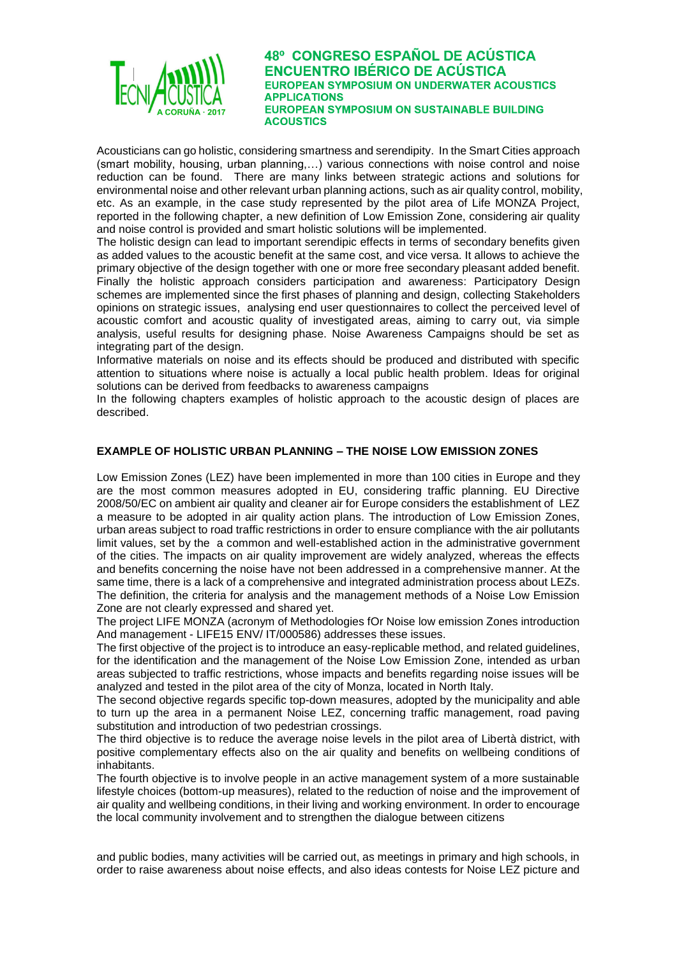

Acousticians can go holistic, considering smartness and serendipity. In the Smart Cities approach (smart mobility, housing, urban planning,…) various connections with noise control and noise reduction can be found. There are many links between strategic actions and solutions for environmental noise and other relevant urban planning actions, such as air quality control, mobility, etc. As an example, in the case study represented by the pilot area of Life MONZA Project, reported in the following chapter, a new definition of Low Emission Zone, considering air quality and noise control is provided and smart holistic solutions will be implemented.

The holistic design can lead to important serendipic effects in terms of secondary benefits given as added values to the acoustic benefit at the same cost, and vice versa. It allows to achieve the primary objective of the design together with one or more free secondary pleasant added benefit. Finally the holistic approach considers participation and awareness: Participatory Design schemes are implemented since the first phases of planning and design, collecting Stakeholders opinions on strategic issues, analysing end user questionnaires to collect the perceived level of acoustic comfort and acoustic quality of investigated areas, aiming to carry out, via simple analysis, useful results for designing phase. Noise Awareness Campaigns should be set as integrating part of the design.

Informative materials on noise and its effects should be produced and distributed with specific attention to situations where noise is actually a local public health problem. Ideas for original solutions can be derived from feedbacks to awareness campaigns

In the following chapters examples of holistic approach to the acoustic design of places are described.

## **EXAMPLE OF HOLISTIC URBAN PLANNING – THE NOISE LOW EMISSION ZONES**

Low Emission Zones (LEZ) have been implemented in more than 100 cities in Europe and they are the most common measures adopted in EU, considering traffic planning. EU Directive 2008/50/EC on ambient air quality and cleaner air for Europe considers the establishment of LEZ a measure to be adopted in air quality action plans. The introduction of Low Emission Zones, urban areas subject to road traffic restrictions in order to ensure compliance with the air pollutants limit values, set by the a common and well-established action in the administrative government of the cities. The impacts on air quality improvement are widely analyzed, whereas the effects and benefits concerning the noise have not been addressed in a comprehensive manner. At the same time, there is a lack of a comprehensive and integrated administration process about LEZs. The definition, the criteria for analysis and the management methods of a Noise Low Emission Zone are not clearly expressed and shared yet.

The project LIFE MONZA (acronym of Methodologies fOr Noise low emission Zones introduction And management - LIFE15 ENV/ IT/000586) addresses these issues.

The first objective of the project is to introduce an easy-replicable method, and related guidelines, for the identification and the management of the Noise Low Emission Zone, intended as urban areas subjected to traffic restrictions, whose impacts and benefits regarding noise issues will be analyzed and tested in the pilot area of the city of Monza, located in North Italy.

The second objective regards specific top-down measures, adopted by the municipality and able to turn up the area in a permanent Noise LEZ, concerning traffic management, road paving substitution and introduction of two pedestrian crossings.

The third objective is to reduce the average noise levels in the pilot area of Libertà district, with positive complementary effects also on the air quality and benefits on wellbeing conditions of inhabitants.

The fourth objective is to involve people in an active management system of a more sustainable lifestyle choices (bottom-up measures), related to the reduction of noise and the improvement of air quality and wellbeing conditions, in their living and working environment. In order to encourage the local community involvement and to strengthen the dialogue between citizens

and public bodies, many activities will be carried out, as meetings in primary and high schools, in order to raise awareness about noise effects, and also ideas contests for Noise LEZ picture and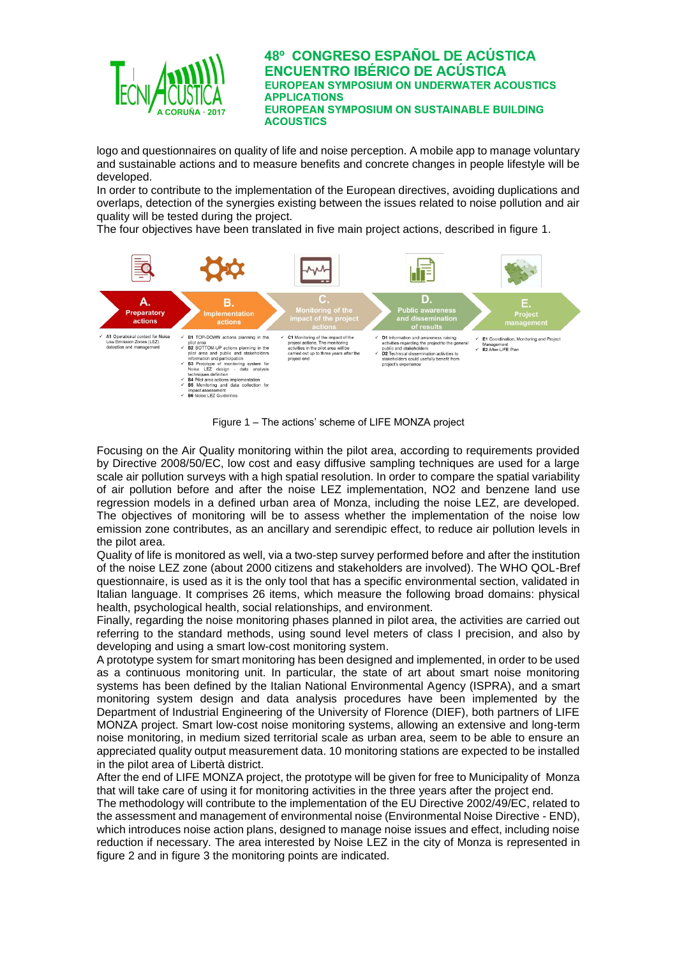

logo and questionnaires on quality of life and noise perception. A mobile app to manage voluntary and sustainable actions and to measure benefits and concrete changes in people lifestyle will be developed.

In order to contribute to the implementation of the European directives, avoiding duplications and overlaps, detection of the synergies existing between the issues related to noise pollution and air quality will be tested during the project.

The four objectives have been translated in five main project actions, described in figure 1.



Figure 1 – The actions' scheme of LIFE MONZA project

Focusing on the Air Quality monitoring within the pilot area, according to requirements provided by Directive 2008/50/EC, low cost and easy diffusive sampling techniques are used for a large scale air pollution surveys with a high spatial resolution. In order to compare the spatial variability of air pollution before and after the noise LEZ implementation, NO2 and benzene land use regression models in a defined urban area of Monza, including the noise LEZ, are developed. The objectives of monitoring will be to assess whether the implementation of the noise low emission zone contributes, as an ancillary and serendipic effect, to reduce air pollution levels in the pilot area.

Quality of life is monitored as well, via a two-step survey performed before and after the institution of the noise LEZ zone (about 2000 citizens and stakeholders are involved). The WHO QOL-Bref questionnaire, is used as it is the only tool that has a specific environmental section, validated in Italian language. It comprises 26 items, which measure the following broad domains: physical health, psychological health, social relationships, and environment.

Finally, regarding the noise monitoring phases planned in pilot area, the activities are carried out referring to the standard methods, using sound level meters of class I precision, and also by developing and using a smart low-cost monitoring system.

A prototype system for smart monitoring has been designed and implemented, in order to be used as a continuous monitoring unit. In particular, the state of art about smart noise monitoring systems has been defined by the Italian National Environmental Agency (ISPRA), and a smart monitoring system design and data analysis procedures have been implemented by the Department of Industrial Engineering of the University of Florence (DIEF), both partners of LIFE MONZA project. Smart low-cost noise monitoring systems, allowing an extensive and long-term noise monitoring, in medium sized territorial scale as urban area, seem to be able to ensure an appreciated quality output measurement data. 10 monitoring stations are expected to be installed in the pilot area of Libertà district.

After the end of LIFE MONZA project, the prototype will be given for free to Municipality of Monza that will take care of using it for monitoring activities in the three years after the project end.

The methodology will contribute to the implementation of the EU Directive 2002/49/EC, related to the assessment and management of environmental noise (Environmental Noise Directive - END), which introduces noise action plans, designed to manage noise issues and effect, including noise reduction if necessary. The area interested by Noise LEZ in the city of Monza is represented in figure 2 and in figure 3 the monitoring points are indicated.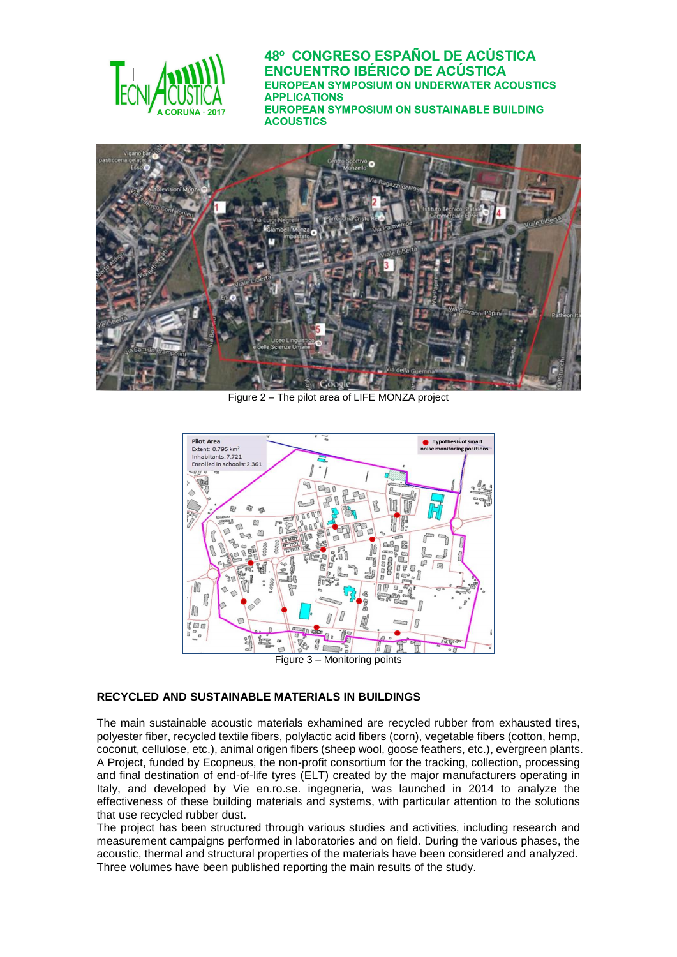



Figure 2 – The pilot area of LIFE MONZA project



## **RECYCLED AND SUSTAINABLE MATERIALS IN BUILDINGS**

The main sustainable acoustic materials exhamined are recycled rubber from exhausted tires, polyester fiber, recycled textile fibers, polylactic acid fibers (corn), vegetable fibers (cotton, hemp, coconut, cellulose, etc.), animal origen fibers (sheep wool, goose feathers, etc.), evergreen plants. A Project, funded by Ecopneus, the non-profit consortium for the tracking, collection, processing and final destination of end-of-life tyres (ELT) created by the major manufacturers operating in Italy, and developed by Vie en.ro.se. ingegneria, was launched in 2014 to analyze the effectiveness of these building materials and systems, with particular attention to the solutions that use recycled rubber dust.

The project has been structured through various studies and activities, including research and measurement campaigns performed in laboratories and on field. During the various phases, the acoustic, thermal and structural properties of the materials have been considered and analyzed. Three volumes have been published reporting the main results of the study.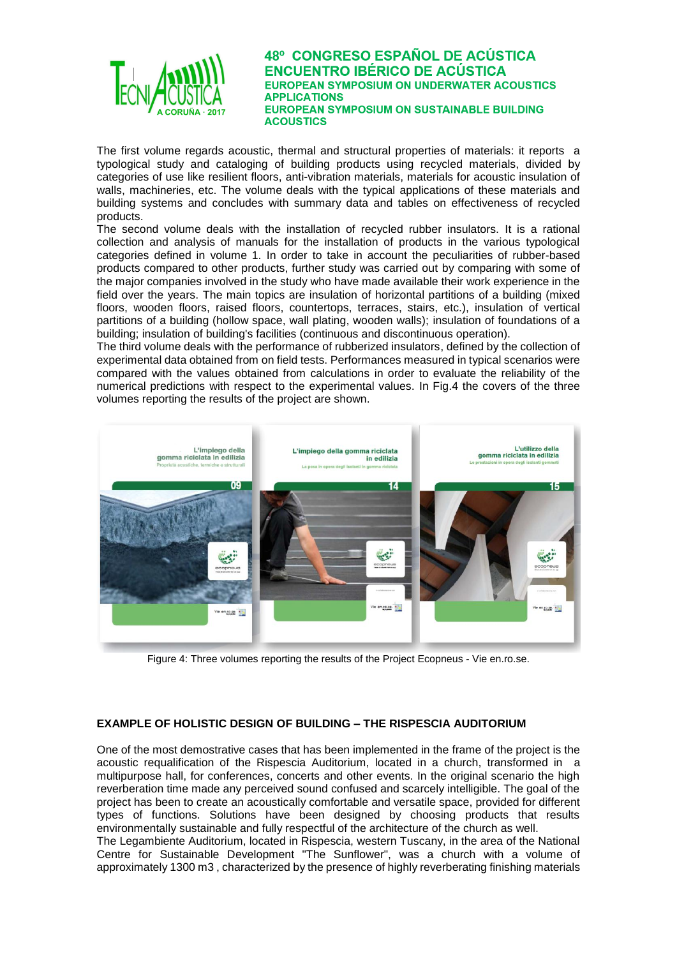

The first volume regards acoustic, thermal and structural properties of materials: it reports a typological study and cataloging of building products using recycled materials, divided by categories of use like resilient floors, anti-vibration materials, materials for acoustic insulation of walls, machineries, etc. The volume deals with the typical applications of these materials and building systems and concludes with summary data and tables on effectiveness of recycled products.

The second volume deals with the installation of recycled rubber insulators. It is a rational collection and analysis of manuals for the installation of products in the various typological categories defined in volume 1. In order to take in account the peculiarities of rubber-based products compared to other products, further study was carried out by comparing with some of the major companies involved in the study who have made available their work experience in the field over the years. The main topics are insulation of horizontal partitions of a building (mixed floors, wooden floors, raised floors, countertops, terraces, stairs, etc.), insulation of vertical partitions of a building (hollow space, wall plating, wooden walls); insulation of foundations of a building; insulation of building's facilities (continuous and discontinuous operation).

The third volume deals with the performance of rubberized insulators, defined by the collection of experimental data obtained from on field tests. Performances measured in typical scenarios were compared with the values obtained from calculations in order to evaluate the reliability of the numerical predictions with respect to the experimental values. In Fig.4 the covers of the three volumes reporting the results of the project are shown.



Figure 4: Three volumes reporting the results of the Project Ecopneus - Vie en.ro.se.

## **EXAMPLE OF HOLISTIC DESIGN OF BUILDING – THE RISPESCIA AUDITORIUM**

One of the most demostrative cases that has been implemented in the frame of the project is the acoustic requalification of the Rispescia Auditorium, located in a church, transformed in a multipurpose hall, for conferences, concerts and other events. In the original scenario the high reverberation time made any perceived sound confused and scarcely intelligible. The goal of the project has been to create an acoustically comfortable and versatile space, provided for different types of functions. Solutions have been designed by choosing products that results environmentally sustainable and fully respectful of the architecture of the church as well. The Legambiente Auditorium, located in Rispescia, western Tuscany, in the area of the National Centre for Sustainable Development "The Sunflower", was a church with a volume of approximately 1300 m3 , characterized by the presence of highly reverberating finishing materials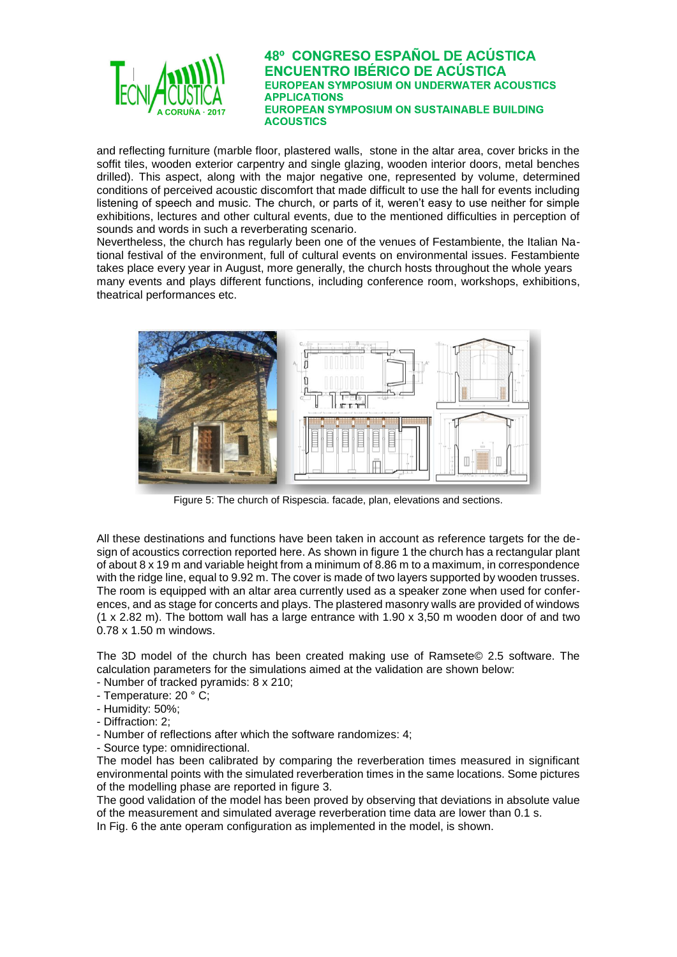

and reflecting furniture (marble floor, plastered walls, stone in the altar area, cover bricks in the soffit tiles, wooden exterior carpentry and single glazing, wooden interior doors, metal benches drilled). This aspect, along with the major negative one, represented by volume, determined conditions of perceived acoustic discomfort that made difficult to use the hall for events including listening of speech and music. The church, or parts of it, weren't easy to use neither for simple exhibitions, lectures and other cultural events, due to the mentioned difficulties in perception of sounds and words in such a reverberating scenario.

Nevertheless, the church has regularly been one of the venues of Festambiente, the Italian National festival of the environment, full of cultural events on environmental issues. Festambiente takes place every year in August, more generally, the church hosts throughout the whole years many events and plays different functions, including conference room, workshops, exhibitions, theatrical performances etc.



Figure 5: The church of Rispescia. facade, plan, elevations and sections.

All these destinations and functions have been taken in account as reference targets for the design of acoustics correction reported here. As shown in figure 1 the church has a rectangular plant of about 8 x 19 m and variable height from a minimum of 8.86 m to a maximum, in correspondence with the ridge line, equal to 9.92 m. The cover is made of two layers supported by wooden trusses. The room is equipped with an altar area currently used as a speaker zone when used for conferences, and as stage for concerts and plays. The plastered masonry walls are provided of windows (1 x 2.82 m). The bottom wall has a large entrance with 1.90 x 3,50 m wooden door of and two 0.78 x 1.50 m windows.

The 3D model of the church has been created making use of Ramsete© 2.5 software. The calculation parameters for the simulations aimed at the validation are shown below:

- Number of tracked pyramids: 8 x 210;
- Temperature: 20 ° C;
- Humidity: 50%;
- Diffraction: 2;
- Number of reflections after which the software randomizes: 4;
- Source type: omnidirectional.

The model has been calibrated by comparing the reverberation times measured in significant environmental points with the simulated reverberation times in the same locations. Some pictures of the modelling phase are reported in figure 3.

The good validation of the model has been proved by observing that deviations in absolute value of the measurement and simulated average reverberation time data are lower than 0.1 s.

In Fig. 6 the ante operam configuration as implemented in the model, is shown.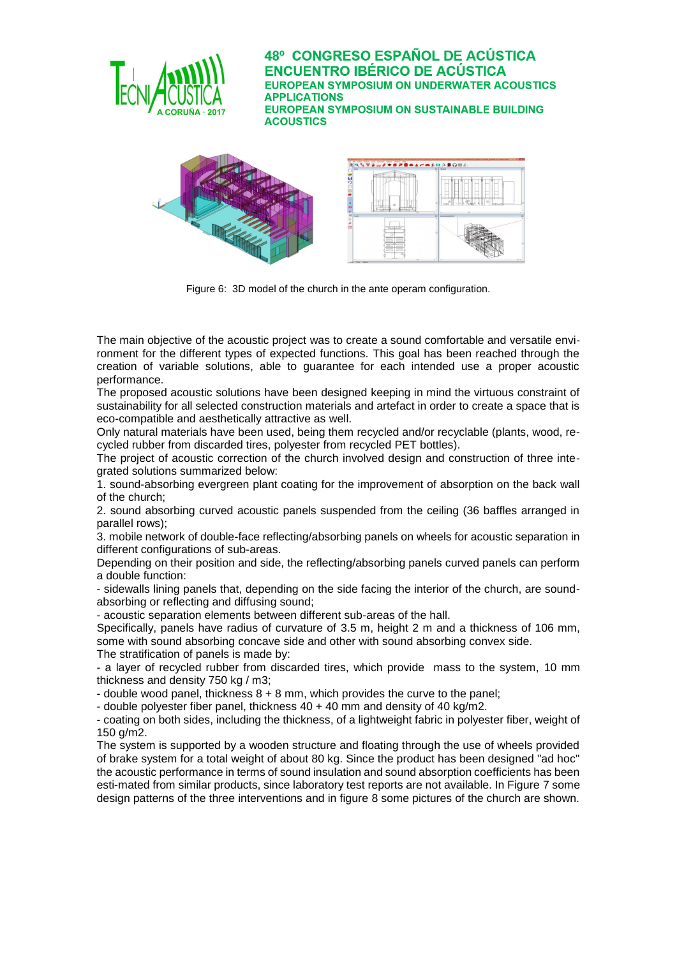



Figure 6: 3D model of the church in the ante operam configuration.

The main objective of the acoustic project was to create a sound comfortable and versatile environment for the different types of expected functions. This goal has been reached through the creation of variable solutions, able to guarantee for each intended use a proper acoustic performance.

The proposed acoustic solutions have been designed keeping in mind the virtuous constraint of sustainability for all selected construction materials and artefact in order to create a space that is eco-compatible and aesthetically attractive as well.

Only natural materials have been used, being them recycled and/or recyclable (plants, wood, recycled rubber from discarded tires, polyester from recycled PET bottles).

The project of acoustic correction of the church involved design and construction of three integrated solutions summarized below:

1. sound-absorbing evergreen plant coating for the improvement of absorption on the back wall of the church;

2. sound absorbing curved acoustic panels suspended from the ceiling (36 baffles arranged in parallel rows);

3. mobile network of double-face reflecting/absorbing panels on wheels for acoustic separation in different configurations of sub-areas.

Depending on their position and side, the reflecting/absorbing panels curved panels can perform a double function:

- sidewalls lining panels that, depending on the side facing the interior of the church, are soundabsorbing or reflecting and diffusing sound;

- acoustic separation elements between different sub-areas of the hall.

Specifically, panels have radius of curvature of 3.5 m, height 2 m and a thickness of 106 mm, some with sound absorbing concave side and other with sound absorbing convex side. The stratification of panels is made by:

- a layer of recycled rubber from discarded tires, which provide mass to the system, 10 mm thickness and density 750 kg / m3;

- double wood panel, thickness  $8 + 8$  mm, which provides the curve to the panel;

- double polyester fiber panel, thickness 40 + 40 mm and density of 40 kg/m2.

- coating on both sides, including the thickness, of a lightweight fabric in polyester fiber, weight of 150 g/m2.

The system is supported by a wooden structure and floating through the use of wheels provided of brake system for a total weight of about 80 kg. Since the product has been designed "ad hoc" the acoustic performance in terms of sound insulation and sound absorption coefficients has been esti-mated from similar products, since laboratory test reports are not available. In Figure 7 some design patterns of the three interventions and in figure 8 some pictures of the church are shown.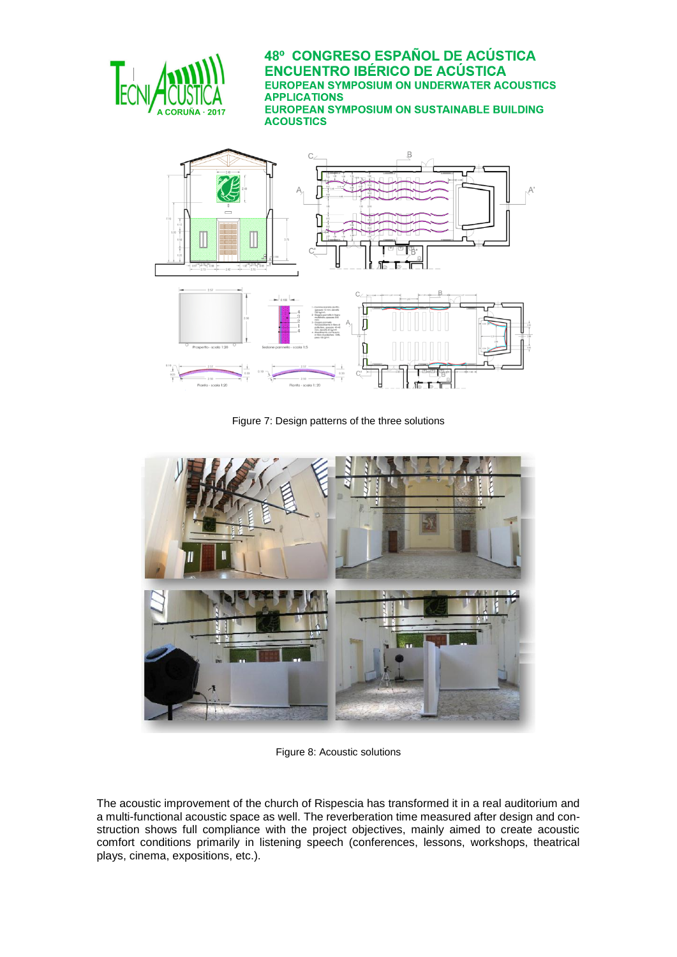



Figure 7: Design patterns of the three solutions



Figure 8: Acoustic solutions

The acoustic improvement of the church of Rispescia has transformed it in a real auditorium and a multi-functional acoustic space as well. The reverberation time measured after design and construction shows full compliance with the project objectives, mainly aimed to create acoustic comfort conditions primarily in listening speech (conferences, lessons, workshops, theatrical plays, cinema, expositions, etc.).